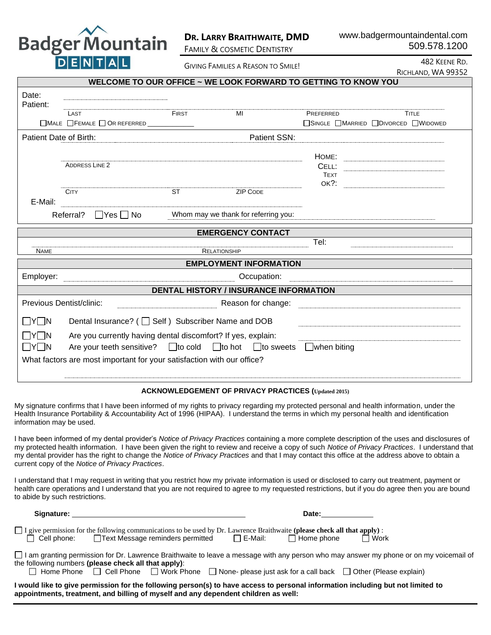

# **DR. LARRY BRAITHWAITE, DMD**

FAMILY & COSMETIC DENTISTRY

www.badgermountaindental.com 509.578.1200

GIVING FAMILIES A REASON TO SMILE!

482 KEENE RD. RICHLAND, WA 99352

| WELCOME TO OUR OFFICE ~ WE LOOK FORWARD TO GETTING TO KNOW YOU                                                                                                                   |       |                                      |                                     |  |  |  |  |  |
|----------------------------------------------------------------------------------------------------------------------------------------------------------------------------------|-------|--------------------------------------|-------------------------------------|--|--|--|--|--|
| Date:<br>Patient:                                                                                                                                                                |       |                                      |                                     |  |  |  |  |  |
| LAST                                                                                                                                                                             | FIRST | MI                                   | <b>TITLE</b><br>PREFERRED           |  |  |  |  |  |
| □MALE □ FEMALE □ OR REFERRED <u>__________</u>                                                                                                                                   |       |                                      | □SINGLE □MARRIED □DIVORCED □WIDOWED |  |  |  |  |  |
| Patient SSN:<br>Patient Date of Birth:                                                                                                                                           |       |                                      |                                     |  |  |  |  |  |
|                                                                                                                                                                                  |       |                                      | HOME:                               |  |  |  |  |  |
| <b>ADDRESS LINE 2</b>                                                                                                                                                            |       |                                      |                                     |  |  |  |  |  |
|                                                                                                                                                                                  |       |                                      | <b>TEXT</b><br>$OK?$ :              |  |  |  |  |  |
| <b>CITY</b>                                                                                                                                                                      | ST    | <b>ZIP CODE</b>                      |                                     |  |  |  |  |  |
| E-Mail:                                                                                                                                                                          |       |                                      |                                     |  |  |  |  |  |
| $\Box$ Yes $\Box$ No<br>Referral?                                                                                                                                                |       | Whom may we thank for referring you: |                                     |  |  |  |  |  |
| <b>EMERGENCY CONTACT</b>                                                                                                                                                         |       |                                      |                                     |  |  |  |  |  |
| <b>NAME</b>                                                                                                                                                                      |       | <b>RELATIONSHIP</b>                  | Tel:                                |  |  |  |  |  |
|                                                                                                                                                                                  |       |                                      |                                     |  |  |  |  |  |
| <b>EMPLOYMENT INFORMATION</b>                                                                                                                                                    |       |                                      |                                     |  |  |  |  |  |
| Employer:                                                                                                                                                                        |       | Occupation:                          |                                     |  |  |  |  |  |
| <b>DENTAL HISTORY / INSURANCE INFORMATION</b>                                                                                                                                    |       |                                      |                                     |  |  |  |  |  |
| Previous Dentist/clinic:                                                                                                                                                         |       | Reason for change:                   |                                     |  |  |  |  |  |
| Dental Insurance? (□ Self) Subscriber Name and DOB<br>$\Box$ y $\Box$ n                                                                                                          |       |                                      |                                     |  |  |  |  |  |
| Are you currently having dental discomfort? If yes, explain:<br>$\Box$ Y $\Box$ N<br>Are your teeth sensitive? □ to cold □ to hot □ to sweets □ when biting<br>$\Box$ Y $\Box$ N |       |                                      |                                     |  |  |  |  |  |
| What factors are most important for your satisfaction with our office?                                                                                                           |       |                                      |                                     |  |  |  |  |  |

#### **ACKNOWLEDGEMENT OF PRIVACY PRACTICES (Updated 2015)**

My signature confirms that I have been informed of my rights to privacy regarding my protected personal and health information, under the Health Insurance Portability & Accountability Act of 1996 (HIPAA). I understand the terms in which my personal health and identification information may be used.

I have been informed of my dental provider's *Notice of Privacy Practices* containing a more complete description of the uses and disclosures of my protected health information. I have been given the right to review and receive a copy of such *Notice of Privacy Practices*. I understand that my dental provider has the right to change the *Notice of Privacy Practices* and that I may contact this office at the address above to obtain a current copy of the *Notice of Privacy Practices*.

I understand that I may request in writing that you restrict how my private information is used or disclosed to carry out treatment, payment or health care operations and I understand that you are not required to agree to my requested restrictions, but if you do agree then you are bound to abide by such restrictions.

| Signature:                                                                                                                                                                                                            |  |  |                                                                                                         | Date:             |             |  |  |
|-----------------------------------------------------------------------------------------------------------------------------------------------------------------------------------------------------------------------|--|--|---------------------------------------------------------------------------------------------------------|-------------------|-------------|--|--|
| $\Box$ I give permission for the following communications to be used by Dr. Lawrence Braithwaite (please check all that apply) :                                                                                      |  |  | $\Box$ Cell phone: $\Box$ Text Message reminders permitted $\Box$ E-Mail:                               | $\Box$ Home phone | $\Box$ Work |  |  |
| □ I am granting permission for Dr. Lawrence Braithwaite to leave a message with any person who may answer my phone or on my voicemail of<br>the following numbers (please check all that apply):                      |  |  |                                                                                                         |                   |             |  |  |
|                                                                                                                                                                                                                       |  |  | □ Home Phone □ Cell Phone □ Work Phone □ None- please just ask for a call back □ Other (Please explain) |                   |             |  |  |
| I would like to give permission for the following person(s) to have access to personal information including but not limited to<br>appointments, treatment, and billing of myself and any dependent children as well: |  |  |                                                                                                         |                   |             |  |  |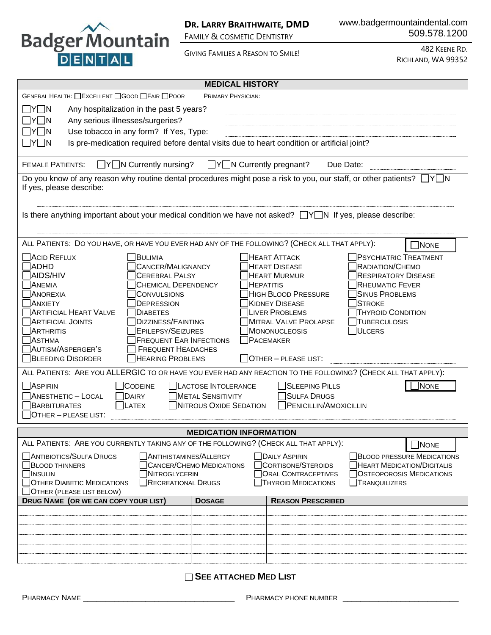

www.badgermountaindental.com 509.578.1200

GIVING FAMILIES A REASON TO SMILE!

482 KEENE RD. RICHLAND, WA 99352

| <b>MEDICAL HISTORY</b>                                                                                                                                      |                                                                              |                                                                                                                     |  |  |  |  |
|-------------------------------------------------------------------------------------------------------------------------------------------------------------|------------------------------------------------------------------------------|---------------------------------------------------------------------------------------------------------------------|--|--|--|--|
| GENERAL HEALTH: □EXCELLENT □GOOD □FAIR □POOR<br><b>PRIMARY PHYSICIAN:</b>                                                                                   |                                                                              |                                                                                                                     |  |  |  |  |
| $\sqcap$ Y $\Box$ N<br>Any hospitalization in the past 5 years?                                                                                             |                                                                              |                                                                                                                     |  |  |  |  |
| Any serious illnesses/surgeries?<br>__ Y __ N                                                                                                               |                                                                              |                                                                                                                     |  |  |  |  |
| Use tobacco in any form? If Yes, Type:<br>$\Box$ Y $\Box$ N                                                                                                 |                                                                              |                                                                                                                     |  |  |  |  |
| $\Box$ Y $\Box$ N<br>Is pre-medication required before dental visits due to heart condition or artificial joint?                                            |                                                                              |                                                                                                                     |  |  |  |  |
|                                                                                                                                                             |                                                                              |                                                                                                                     |  |  |  |  |
| $\Box Y \Box N$ Currently nursing?<br>$\Box Y \Box N$ Currently pregnant?<br><b>FEMALE PATIENTS:</b><br>Due Date:                                           |                                                                              |                                                                                                                     |  |  |  |  |
| Do you know of any reason why routine dental procedures might pose a risk to you, our staff, or other patients? $\Box Y \Box N$<br>If yes, please describe: |                                                                              |                                                                                                                     |  |  |  |  |
| Is there anything important about your medical condition we have not asked? $\Box Y \Box N$ If yes, please describe:                                        |                                                                              |                                                                                                                     |  |  |  |  |
| ALL PATIENTS: DO YOU HAVE, OR HAVE YOU EVER HAD ANY OF THE FOLLOWING? (CHECK ALL THAT APPLY):                                                               |                                                                              | NONE                                                                                                                |  |  |  |  |
| <b>ACID REFLUX</b><br>BULIMIA                                                                                                                               |                                                                              | <b>PSYCHIATRIC TREATMENT</b><br><b>HEART ATTACK</b>                                                                 |  |  |  |  |
| <b>CANCER/MALIGNANCY</b><br><b>ADHD</b>                                                                                                                     |                                                                              | <b>HEART DISEASE</b><br>RADIATION/CHEMO                                                                             |  |  |  |  |
| AIDS/HIV<br><b>CEREBRAL PALSY</b>                                                                                                                           |                                                                              | <b>HEART MURMUR</b><br>RESPIRATORY DISEASE                                                                          |  |  |  |  |
| ANEMIA<br><b>CHEMICAL DEPENDENCY</b>                                                                                                                        |                                                                              | <b>RHEUMATIC FEVER</b><br><b>HEPATITIS</b>                                                                          |  |  |  |  |
| <b>ANOREXIA</b><br><b>CONVULSIONS</b><br>ANXIETY<br><b>DEPRESSION</b>                                                                                       |                                                                              | <b>HIGH BLOOD PRESSURE</b><br><b>SINUS PROBLEMS</b><br><b>KIDNEY DISEASE</b><br><b>STROKE</b>                       |  |  |  |  |
| <b>ARTIFICIAL HEART VALVE</b><br><b>DIABETES</b>                                                                                                            |                                                                              | <b>LIVER PROBLEMS</b><br><b>THYROID CONDITION</b>                                                                   |  |  |  |  |
| ARTIFICIAL JOINTS<br><b>DIZZINESS/FAINTING</b>                                                                                                              |                                                                              | MITRAL VALVE PROLAPSE<br><b>TUBERCULOSIS</b>                                                                        |  |  |  |  |
| <b>ARTHRITIS</b><br><b>EPILEPSY/SEIZURES</b>                                                                                                                |                                                                              | ULCERS<br>MONONUCLEOSIS                                                                                             |  |  |  |  |
| <b>ASTHMA</b><br><b>FREQUENT EAR INFECTIONS</b>                                                                                                             | $\Box$ PACEMAKER                                                             |                                                                                                                     |  |  |  |  |
| AUTISM/ASPERGER'S<br><b>FREQUENT HEADACHES</b><br><b>BLEEDING DISORDER</b><br><b>HEARING PROBLEMS</b>                                                       |                                                                              | $\Box$ OTHER – PLEASE LIST:                                                                                         |  |  |  |  |
|                                                                                                                                                             |                                                                              |                                                                                                                     |  |  |  |  |
|                                                                                                                                                             |                                                                              | ALL PATIENTS: ARE YOU ALLERGIC TO OR HAVE YOU EVER HAD ANY REACTION TO THE FOLLOWING? (CHECK ALL THAT APPLY):       |  |  |  |  |
| ASPIRIN<br><b>CODEINE</b>                                                                                                                                   | LACTOSE INTOLERANCE                                                          | SLEEPING PILLS<br><b>NONE</b>                                                                                       |  |  |  |  |
| ANESTHETIC - LOCAL<br>DAIRY                                                                                                                                 | <b>METAL SENSITIVITY</b>                                                     | SULFA DRUGS                                                                                                         |  |  |  |  |
| BARBITURATES<br><b>LATEX</b><br>OTHER - PLEASE LIST:                                                                                                        | NITROUS OXIDE SEDATION                                                       | PENICILLIN/AMOXICILLIN                                                                                              |  |  |  |  |
|                                                                                                                                                             |                                                                              |                                                                                                                     |  |  |  |  |
|                                                                                                                                                             | <b>MEDICATION INFORMATION</b>                                                |                                                                                                                     |  |  |  |  |
| ALL PATIENTS: ARE YOU CURRENTLY TAKING ANY OF THE FOLLOWING? (CHECK ALL THAT APPLY):<br>NONE                                                                |                                                                              |                                                                                                                     |  |  |  |  |
| ANTIHISTAMINES/ALLERGY<br>DAILY ASPIRIN<br><b>BLOOD PRESSURE MEDICATIONS</b><br><b>ANTIBIOTICS/SULFA DRUGS</b>                                              |                                                                              |                                                                                                                     |  |  |  |  |
| <b>BLOOD THINNERS</b>                                                                                                                                       | CORTISONE/STEROIDS<br>HEART MEDICATION/DIGITALIS<br>CANCER/CHEMO MEDICATIONS |                                                                                                                     |  |  |  |  |
| <b>INSULIN</b><br>NITROGLYCERIN<br><b>OTHER DIABETIC MEDICATIONS</b>                                                                                        |                                                                              | <b>ORAL CONTRACEPTIVES</b><br><b>OSTEOPOROSIS MEDICATIONS</b><br><b>THYROID MEDICATIONS</b><br><b>TRANQUILIZERS</b> |  |  |  |  |
| <b>RECREATIONAL DRUGS</b><br>OTHER (PLEASE LIST BELOW)                                                                                                      |                                                                              |                                                                                                                     |  |  |  |  |
| DRUG NAME (OR WE CAN COPY YOUR LIST)                                                                                                                        | <b>DOSAGE</b>                                                                | <b>REASON PRESCRIBED</b>                                                                                            |  |  |  |  |
|                                                                                                                                                             |                                                                              |                                                                                                                     |  |  |  |  |
|                                                                                                                                                             |                                                                              |                                                                                                                     |  |  |  |  |
|                                                                                                                                                             |                                                                              |                                                                                                                     |  |  |  |  |
|                                                                                                                                                             |                                                                              |                                                                                                                     |  |  |  |  |
|                                                                                                                                                             |                                                                              |                                                                                                                     |  |  |  |  |
|                                                                                                                                                             |                                                                              |                                                                                                                     |  |  |  |  |
|                                                                                                                                                             | <b>SEE ATTACHED MED LIST</b>                                                 |                                                                                                                     |  |  |  |  |

PHARMACY NAME \_\_\_\_\_\_\_\_\_\_\_\_\_\_\_\_\_\_\_\_\_\_\_\_\_\_\_\_\_\_\_\_\_\_ PHARMACY PHONE NUMBER \_\_\_\_\_\_\_\_\_\_\_\_\_\_\_\_\_\_\_\_\_\_\_\_\_\_